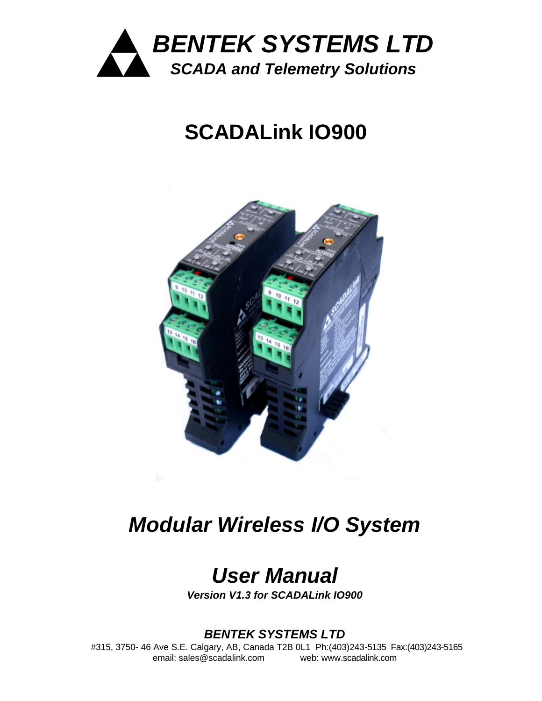

# **SCADALink IO900**



# *Modular Wireless I/O System*

# *User Manual*

*Version V1.3 for SCADALink IO900*

# *BENTEK SYSTEMS LTD*

#315, 3750- 46 Ave S.E. Calgary, AB, Canada T2B 0L1 Ph:(403)243-5135 Fax:(403)243-5165 email: sales@scadalink.com web: www.scadalink.com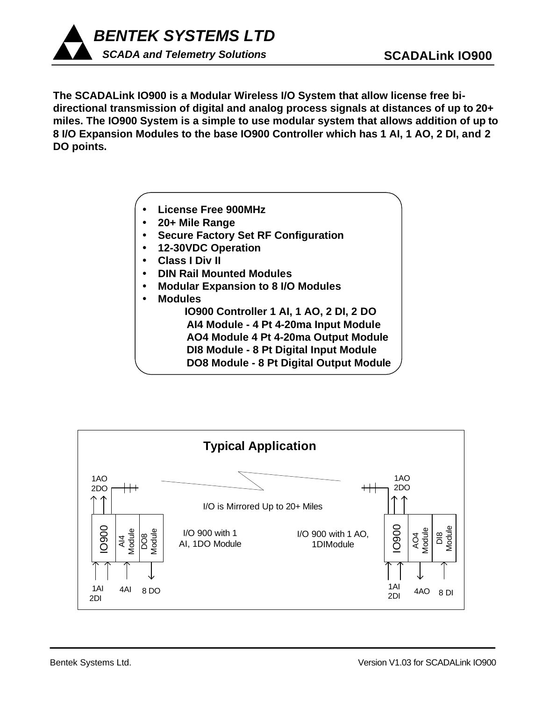

**The SCADALink IO900 is a Modular Wireless I/O System that allow license free bidirectional transmission of digital and analog process signals at distances of up to 20+ miles. The IO900 System is a simple to use modular system that allows addition of up to 8 I/O Expansion Modules to the base IO900 Controller which has 1 AI, 1 AO, 2 DI, and 2 DO points.**

- ü **License Free 900MHz**
- ü **20+ Mile Range**
- ü **Secure Factory Set RF Configuration**
- ü **12-30VDC Operation**
- ü **Class I Div II**
- ü **DIN Rail Mounted Modules**
- ü **Modular Expansion to 8 I/O Modules**

ü **Modules IO900 Controller 1 AI, 1 AO, 2 DI, 2 DO AI4 Module - 4 Pt 4-20ma Input Module AO4 Module 4 Pt 4-20ma Output Module DI8 Module - 8 Pt Digital Input Module DO8 Module - 8 Pt Digital Output Module**

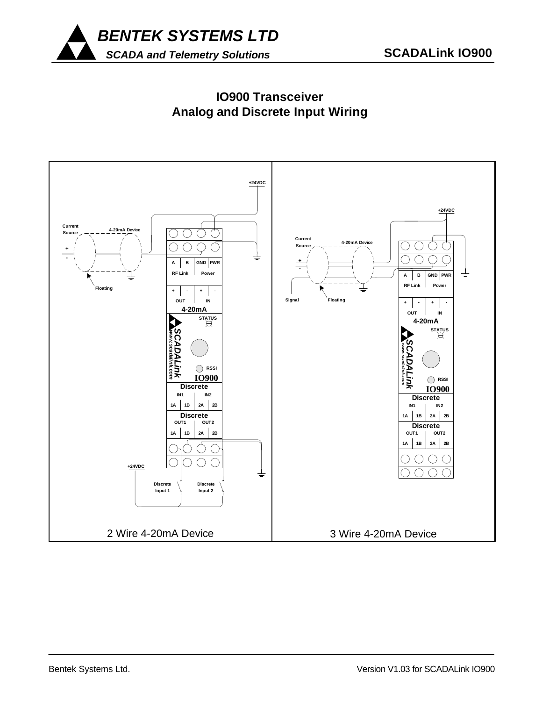

# **IO900 Transceiver Analog and Discrete Input Wiring**

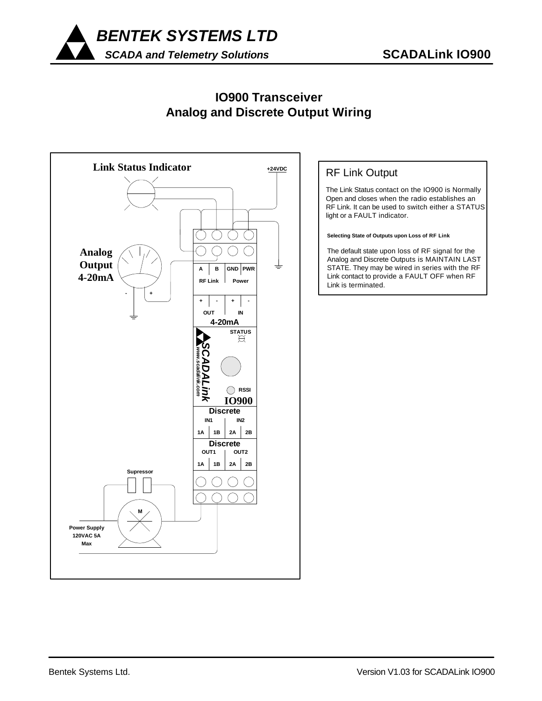

### **IO900 Transceiver Analog and Discrete Output Wiring**



### RF Link Output

The Link Status contact on the IO900 is Normally Open and closes when the radio establishes an RF Link. It can be used to switch either a STATUS light or a FAULT indicator.

**Selecting State of Outputs upon Loss of RF Link**

The default state upon loss of RF signal for the Analog and Discrete Outputs is MAINTAIN LAST STATE. They may be wired in series with the RF Link contact to provide a FAULT OFF when RF Link is terminated.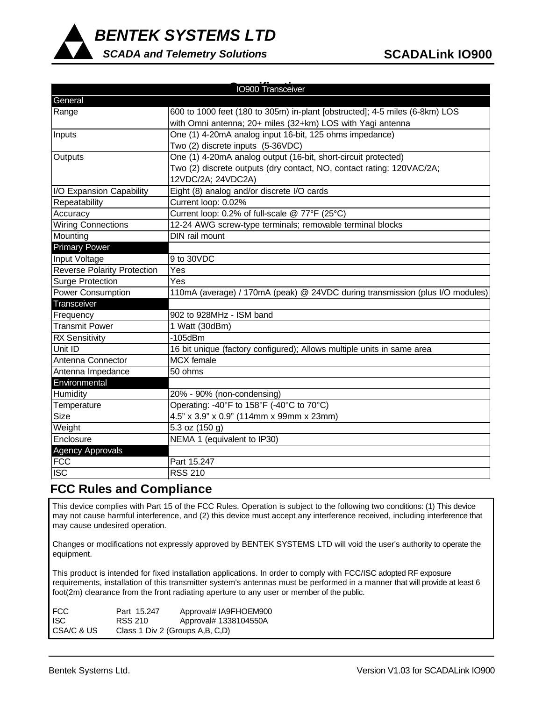

*SCADA and Telemetry Solutions*

| IO900 Transceiver                  |                                                                               |  |  |
|------------------------------------|-------------------------------------------------------------------------------|--|--|
| General                            |                                                                               |  |  |
| Range                              | 600 to 1000 feet (180 to 305m) in-plant [obstructed]; 4-5 miles (6-8km) LOS   |  |  |
|                                    | with Omni antenna; 20+ miles (32+km) LOS with Yagi antenna                    |  |  |
| Inputs                             | One (1) 4-20mA analog input 16-bit, 125 ohms impedance)                       |  |  |
|                                    | Two (2) discrete inputs (5-36VDC)                                             |  |  |
| Outputs                            | One (1) 4-20mA analog output (16-bit, short-circuit protected)                |  |  |
|                                    | Two (2) discrete outputs (dry contact, NO, contact rating: 120VAC/2A;         |  |  |
|                                    | 12VDC/2A; 24VDC2A)                                                            |  |  |
| I/O Expansion Capability           | Eight (8) analog and/or discrete I/O cards                                    |  |  |
| Repeatability                      | Current loop: 0.02%                                                           |  |  |
| Accuracy                           | Current loop: 0.2% of full-scale @ 77°F (25°C)                                |  |  |
| <b>Wiring Connections</b>          | 12-24 AWG screw-type terminals; removable terminal blocks                     |  |  |
| Mounting                           | DIN rail mount                                                                |  |  |
| <b>Primary Power</b>               |                                                                               |  |  |
| Input Voltage                      | 9 to 30VDC                                                                    |  |  |
| <b>Reverse Polarity Protection</b> | Yes                                                                           |  |  |
| <b>Surge Protection</b>            | Yes                                                                           |  |  |
| Power Consumption                  | 110mA (average) / 170mA (peak) @ 24VDC during transmission (plus I/O modules) |  |  |
| Transceiver                        |                                                                               |  |  |
| Frequency                          | 902 to 928MHz - ISM band                                                      |  |  |
| <b>Transmit Power</b>              | 1 Watt (30dBm)                                                                |  |  |
| <b>RX Sensitivity</b>              | $-105$ d $Bm$                                                                 |  |  |
| Unit ID                            | 16 bit unique (factory configured); Allows multiple units in same area        |  |  |
| Antenna Connector                  | <b>MCX</b> female                                                             |  |  |
| Antenna Impedance                  | 50 ohms                                                                       |  |  |
| Environmental                      |                                                                               |  |  |
| Humidity                           | 20% - 90% (non-condensing)                                                    |  |  |
| Temperature                        | Operating: -40°F to 158°F (-40°C to 70°C)                                     |  |  |
| <b>Size</b>                        | 4.5" x 3.9" x 0.9" (114mm x 99mm x 23mm)                                      |  |  |
| Weight                             | 5.3 oz (150 g)                                                                |  |  |
| Enclosure                          | NEMA 1 (equivalent to IP30)                                                   |  |  |
| <b>Agency Approvals</b>            |                                                                               |  |  |
| <b>FCC</b>                         | Part 15.247                                                                   |  |  |
| $\overline{\text{ISC}}$            | <b>RSS 210</b>                                                                |  |  |

#### **FCC Rules and Compliance**

This device complies with Part 15 of the FCC Rules. Operation is subject to the following two conditions: (1) This device may not cause harmful interference, and (2) this device must accept any interference received, including interference that may cause undesired operation.

Changes or modifications not expressly approved by BENTEK SYSTEMS LTD will void the user's authority to operate the equipment.

This product is intended for fixed installation applications. In order to comply with FCC/ISC adopted RF exposure requirements, installation of this transmitter system's antennas must be performed in a manner that will provide at least 6 foot(2m) clearance from the front radiating aperture to any user or member of the public.

| <b>FCC</b> | Part 15.247 | Approval# IA9FHOEM900             |
|------------|-------------|-----------------------------------|
| ISC.       | RSS 210     | Approval# 1338104550A             |
| CSA/C & US |             | Class 1 Div 2 (Groups A, B, C, D) |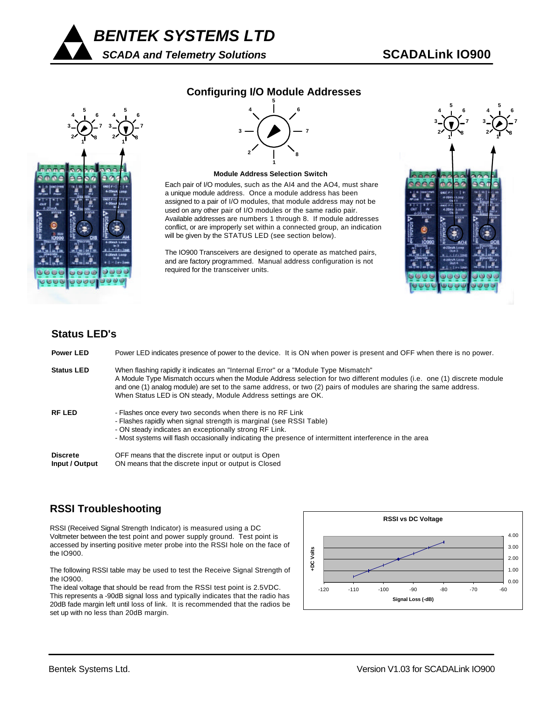



#### **Configuring I/O Module Addresses**



#### **Module Address Selection Switch**

Each pair of I/O modules, such as the AI4 and the AO4, must share a unique module address. Once a module address has been assigned to a pair of I/O modules, that module address may not be used on any other pair of I/O modules or the same radio pair. Available addresses are numbers 1 through 8. If module addresses conflict, or are improperly set within a connected group, an indication will be given by the STATUS LED (see section below).

The IO900 Transceivers are designed to operate as matched pairs, and are factory programmed. Manual address configuration is not required for the transceiver units.



#### **Status LED's**

| <b>Power LED</b>                  | Power LED indicates presence of power to the device. It is ON when power is present and OFF when there is no power.                                                                                                                                                                                                                                                                                 |
|-----------------------------------|-----------------------------------------------------------------------------------------------------------------------------------------------------------------------------------------------------------------------------------------------------------------------------------------------------------------------------------------------------------------------------------------------------|
| <b>Status LED</b>                 | When flashing rapidly it indicates an "Internal Error" or a "Module Type Mismatch"<br>A Module Type Mismatch occurs when the Module Address selection for two different modules (i.e. one (1) discrete module<br>and one (1) analog module) are set to the same address, or two (2) pairs of modules are sharing the same address.<br>When Status LED is ON steady, Module Address settings are OK. |
| <b>RF LED</b>                     | - Flashes once every two seconds when there is no RF Link<br>- Flashes rapidly when signal strength is marginal (see RSSI Table)<br>- ON steady indicates an exceptionally strong RF Link.<br>- Most systems will flash occasionally indicating the presence of intermittent interference in the area                                                                                               |
| <b>Discrete</b><br>Input / Output | OFF means that the discrete input or output is Open<br>ON means that the discrete input or output is Closed                                                                                                                                                                                                                                                                                         |

#### **RSSI Troubleshooting**

RSSI (Received Signal Strength Indicator) is measured using a DC Voltmeter between the test point and power supply ground. Test point is accessed by inserting positive meter probe into the RSSI hole on the face of the IO900.

The following RSSI table may be used to test the Receive Signal Strength of the IO900.

The ideal voltage that should be read from the RSSI test point is 2.5VDC. This represents a -90dB signal loss and typically indicates that the radio has 20dB fade margin left until loss of link. It is recommended that the radios be set up with no less than 20dB margin.

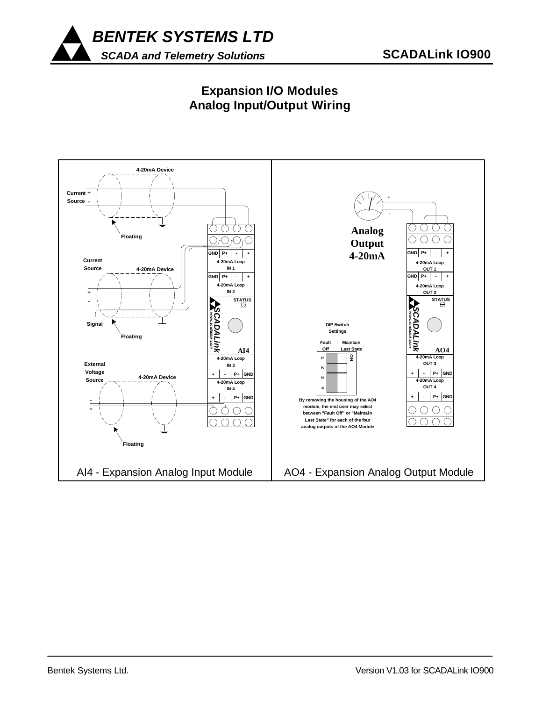

# **Expansion I/O Modules Analog Input/Output Wiring**

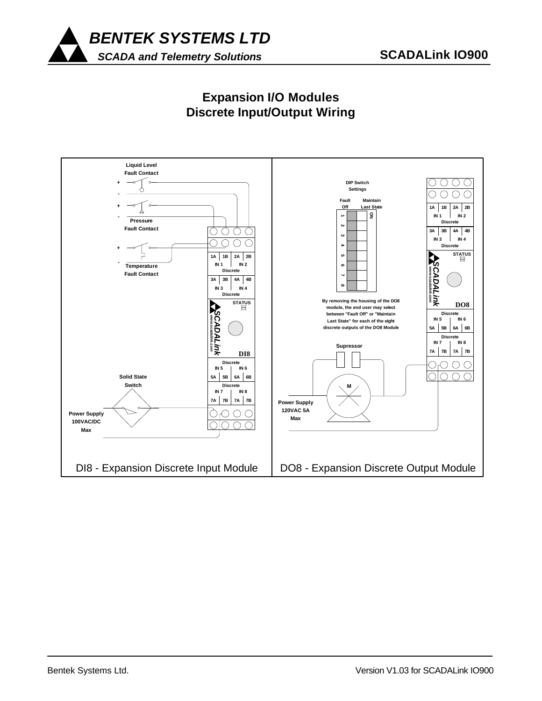



### **Expansion I/O Modules Discrete Input/Output Wiring**